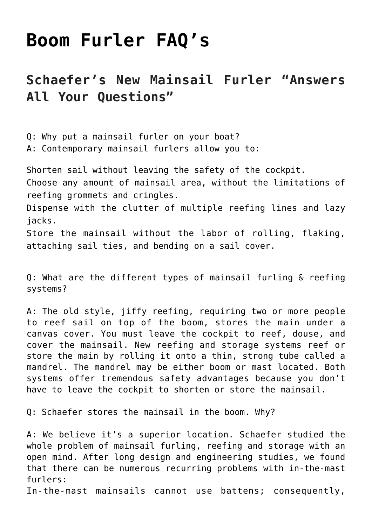## **[Boom Furler FAQ's](https://www.schaefermarine.com/our-products/boom-furlers/boom-furler-faqs/)**

## **Schaefer's New Mainsail Furler "Answers All Your Questions"**

Q: Why put a mainsail furler on your boat? A: Contemporary mainsail furlers allow you to: Shorten sail without leaving the safety of the cockpit. Choose any amount of mainsail area, without the limitations of reefing grommets and cringles. Dispense with the clutter of multiple reefing lines and lazy jacks. Store the mainsail without the labor of rolling, flaking,

attaching sail ties, and bending on a sail cover.

Q: What are the different types of mainsail furling & reefing systems?

A: The old style, jiffy reefing, requiring two or more people to reef sail on top of the boom, stores the main under a canvas cover. You must leave the cockpit to reef, douse, and cover the mainsail. New reefing and storage systems reef or store the main by rolling it onto a thin, strong tube called a mandrel. The mandrel may be either boom or mast located. Both systems offer tremendous safety advantages because you don't have to leave the cockpit to shorten or store the mainsail.

Q: Schaefer stores the mainsail in the boom. Why?

A: We believe it's a superior location. Schaefer studied the whole problem of mainsail furling, reefing and storage with an open mind. After long design and engineering studies, we found that there can be numerous recurring problems with in-the-mast furlers: In-the-mast mainsails cannot use battens; consequently,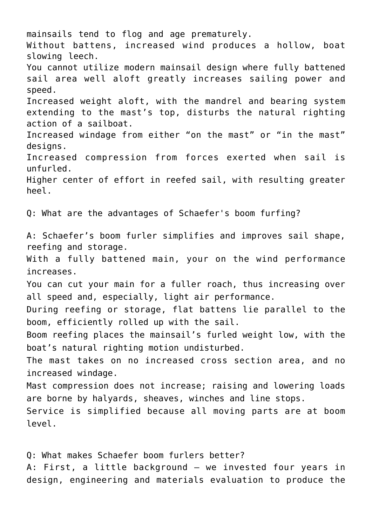mainsails tend to flog and age prematurely. Without battens, increased wind produces a hollow, boat slowing leech. You cannot utilize modern mainsail design where fully battened sail area well aloft greatly increases sailing power and speed. Increased weight aloft, with the mandrel and bearing system extending to the mast's top, disturbs the natural righting action of a sailboat. Increased windage from either "on the mast" or "in the mast" designs. Increased compression from forces exerted when sail is unfurled. Higher center of effort in reefed sail, with resulting greater heel. Q: What are the advantages of Schaefer's boom furfing? A: Schaefer's boom furler simplifies and improves sail shape, reefing and storage. With a fully battened main, your on the wind performance increases. You can cut your main for a fuller roach, thus increasing over all speed and, especially, light air performance. During reefing or storage, flat battens lie parallel to the boom, efficiently rolled up with the sail. Boom reefing places the mainsail's furled weight low, with the boat's natural righting motion undisturbed. The mast takes on no increased cross section area, and no increased windage. Mast compression does not increase; raising and lowering loads are borne by halyards, sheaves, winches and line stops. Service is simplified because all moving parts are at boom level.

Q: What makes Schaefer boom furlers better? A: First, a little background – we invested four years in design, engineering and materials evaluation to produce the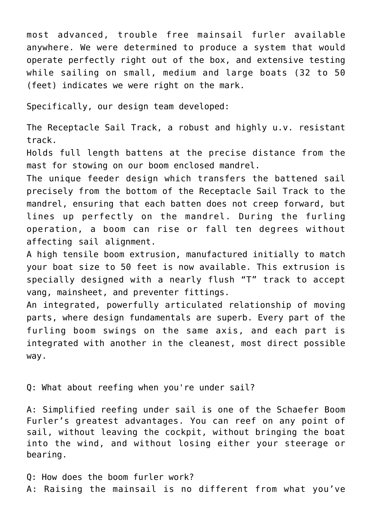most advanced, trouble free mainsail furler available anywhere. We were determined to produce a system that would operate perfectly right out of the box, and extensive testing while sailing on small, medium and large boats (32 to 50 (feet) indicates we were right on the mark.

Specifically, our design team developed:

The Receptacle Sail Track, a robust and highly u.v. resistant track.

Holds full length battens at the precise distance from the mast for stowing on our boom enclosed mandrel.

The unique feeder design which transfers the battened sail precisely from the bottom of the Receptacle Sail Track to the mandrel, ensuring that each batten does not creep forward, but lines up perfectly on the mandrel. During the furling operation, a boom can rise or fall ten degrees without affecting sail alignment.

A high tensile boom extrusion, manufactured initially to match your boat size to 50 feet is now available. This extrusion is specially designed with a nearly flush "T" track to accept vang, mainsheet, and preventer fittings.

An integrated, powerfully articulated relationship of moving parts, where design fundamentals are superb. Every part of the furling boom swings on the same axis, and each part is integrated with another in the cleanest, most direct possible way.

Q: What about reefing when you're under sail?

A: Simplified reefing under sail is one of the Schaefer Boom Furler's greatest advantages. You can reef on any point of sail, without leaving the cockpit, without bringing the boat into the wind, and without losing either your steerage or bearing.

Q: How does the boom furler work? A: Raising the mainsail is no different from what you've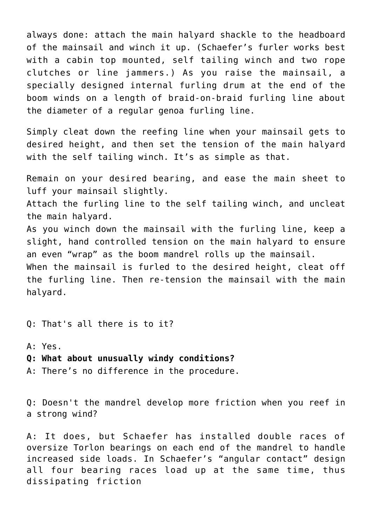always done: attach the main halyard shackle to the headboard of the mainsail and winch it up. (Schaefer's furler works best with a cabin top mounted, self tailing winch and two rope clutches or line jammers.) As you raise the mainsail, a specially designed internal furling drum at the end of the boom winds on a length of braid-on-braid furling line about the diameter of a regular genoa furling line.

Simply cleat down the reefing line when your mainsail gets to desired height, and then set the tension of the main halyard with the self tailing winch. It's as simple as that.

Remain on your desired bearing, and ease the main sheet to luff your mainsail slightly.

Attach the furling line to the self tailing winch, and uncleat the main halyard.

As you winch down the mainsail with the furling line, keep a slight, hand controlled tension on the main halyard to ensure an even "wrap" as the boom mandrel rolls up the mainsail.

When the mainsail is furled to the desired height, cleat off the furling line. Then re-tension the mainsail with the main halyard.

Q: That's all there is to it?

A: Yes. **Q: What about unusually windy conditions?**

A: There's no difference in the procedure.

Q: Doesn't the mandrel develop more friction when you reef in a strong wind?

A: It does, but Schaefer has installed double races of oversize Torlon bearings on each end of the mandrel to handle increased side loads. In Schaefer's "angular contact" design all four bearing races load up at the same time, thus dissipating friction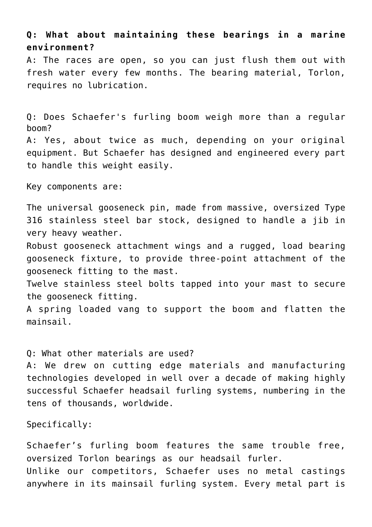## **Q: What about maintaining these bearings in a marine environment?**

A: The races are open, so you can just flush them out with fresh water every few months. The bearing material, Torlon, requires no lubrication.

Q: Does Schaefer's furling boom weigh more than a regular boom? A: Yes, about twice as much, depending on your original equipment. But Schaefer has designed and engineered every part to handle this weight easily.

Key components are:

The universal gooseneck pin, made from massive, oversized Type 316 stainless steel bar stock, designed to handle a jib in very heavy weather.

Robust gooseneck attachment wings and a rugged, load bearing gooseneck fixture, to provide three-point attachment of the gooseneck fitting to the mast.

Twelve stainless steel bolts tapped into your mast to secure the gooseneck fitting.

A spring loaded vang to support the boom and flatten the mainsail.

Q: What other materials are used?

A: We drew on cutting edge materials and manufacturing technologies developed in well over a decade of making highly successful Schaefer headsail furling systems, numbering in the tens of thousands, worldwide.

Specifically:

Schaefer's furling boom features the same trouble free, oversized Torlon bearings as our headsail furler. Unlike our competitors, Schaefer uses no metal castings anywhere in its mainsail furling system. Every metal part is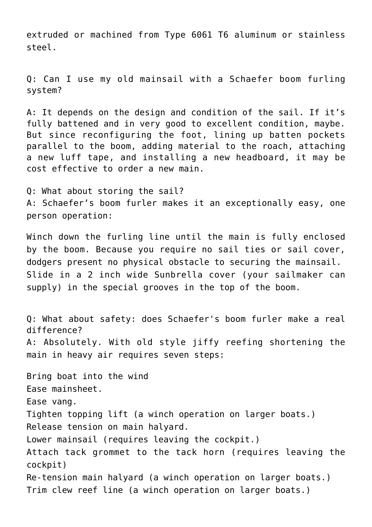extruded or machined from Type 6061 T6 aluminum or stainless steel.

Q: Can I use my old mainsail with a Schaefer boom furling system?

A: It depends on the design and condition of the sail. If it's fully battened and in very good to excellent condition, maybe. But since reconfiguring the foot, lining up batten pockets parallel to the boom, adding material to the roach, attaching a new luff tape, and installing a new headboard, it may be cost effective to order a new main.

Q: What about storing the sail? A: Schaefer's boom furler makes it an exceptionally easy, one person operation:

Winch down the furling line until the main is fully enclosed by the boom. Because you require no sail ties or sail cover, dodgers present no physical obstacle to securing the mainsail. Slide in a 2 inch wide Sunbrella cover (your sailmaker can supply) in the special grooves in the top of the boom.

Q: What about safety: does Schaefer's boom furler make a real difference? A: Absolutely. With old style jiffy reefing shortening the main in heavy air requires seven steps:

Bring boat into the wind Ease mainsheet. Ease vang. Tighten topping lift (a winch operation on larger boats.) Release tension on main halyard. Lower mainsail (requires leaving the cockpit.) Attach tack grommet to the tack horn (requires leaving the cockpit) Re-tension main halyard (a winch operation on larger boats.) Trim clew reef line (a winch operation on larger boats.)